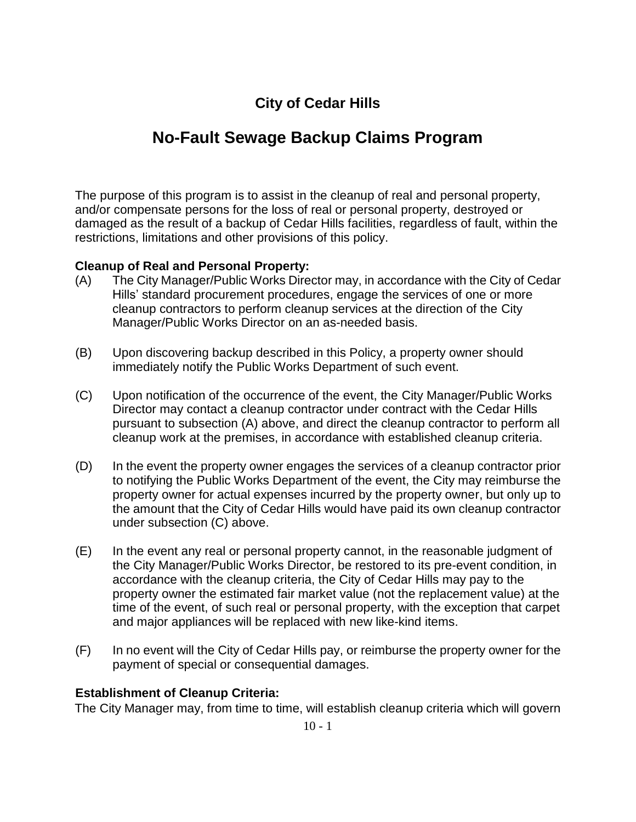# **City of Cedar Hills**

# **No-Fault Sewage Backup Claims Program**

The purpose of this program is to assist in the cleanup of real and personal property, and/or compensate persons for the loss of real or personal property, destroyed or damaged as the result of a backup of Cedar Hills facilities, regardless of fault, within the restrictions, limitations and other provisions of this policy.

#### **Cleanup of Real and Personal Property:**

- (A) The City Manager/Public Works Director may, in accordance with the City of Cedar Hills' standard procurement procedures, engage the services of one or more cleanup contractors to perform cleanup services at the direction of the City Manager/Public Works Director on an as-needed basis.
- (B) Upon discovering backup described in this Policy, a property owner should immediately notify the Public Works Department of such event.
- (C) Upon notification of the occurrence of the event, the City Manager/Public Works Director may contact a cleanup contractor under contract with the Cedar Hills pursuant to subsection (A) above, and direct the cleanup contractor to perform all cleanup work at the premises, in accordance with established cleanup criteria.
- (D) In the event the property owner engages the services of a cleanup contractor prior to notifying the Public Works Department of the event, the City may reimburse the property owner for actual expenses incurred by the property owner, but only up to the amount that the City of Cedar Hills would have paid its own cleanup contractor under subsection (C) above.
- (E) In the event any real or personal property cannot, in the reasonable judgment of the City Manager/Public Works Director, be restored to its pre-event condition, in accordance with the cleanup criteria, the City of Cedar Hills may pay to the property owner the estimated fair market value (not the replacement value) at the time of the event, of such real or personal property, with the exception that carpet and major appliances will be replaced with new like-kind items.
- (F) In no event will the City of Cedar Hills pay, or reimburse the property owner for the payment of special or consequential damages.

#### **Establishment of Cleanup Criteria:**

The City Manager may, from time to time, will establish cleanup criteria which will govern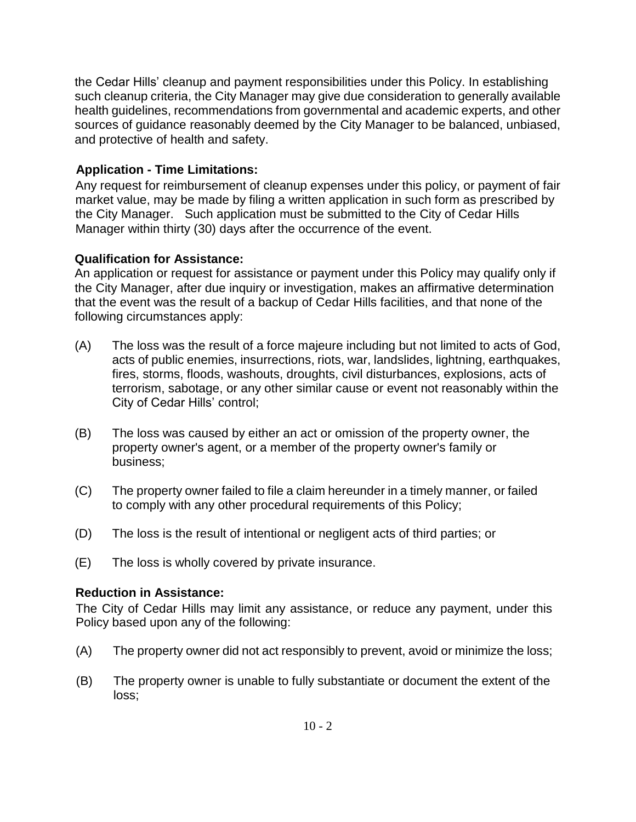the Cedar Hills' cleanup and payment responsibilities under this Policy. In establishing such cleanup criteria, the City Manager may give due consideration to generally available health guidelines, recommendations from governmental and academic experts, and other sources of guidance reasonably deemed by the City Manager to be balanced, unbiased, and protective of health and safety.

# **Application - Time Limitations:**

Any request for reimbursement of cleanup expenses under this policy, or payment of fair market value, may be made by filing a written application in such form as prescribed by the City Manager. Such application must be submitted to the City of Cedar Hills Manager within thirty (30) days after the occurrence of the event.

## **Qualification for Assistance:**

An application or request for assistance or payment under this Policy may qualify only if the City Manager, after due inquiry or investigation, makes an affirmative determination that the event was the result of a backup of Cedar Hills facilities, and that none of the following circumstances apply:

- (A) The loss was the result of a force majeure including but not limited to acts of God, acts of public enemies, insurrections, riots, war, landslides, lightning, earthquakes, fires, storms, floods, washouts, droughts, civil disturbances, explosions, acts of terrorism, sabotage, or any other similar cause or event not reasonably within the City of Cedar Hills' control;
- (B) The loss was caused by either an act or omission of the property owner, the property owner's agent, or a member of the property owner's family or business;
- (C) The property owner failed to file a claim hereunder in a timely manner, or failed to comply with any other procedural requirements of this Policy;
- (D) The loss is the result of intentional or negligent acts of third parties; or
- (E) The loss is wholly covered by private insurance.

## **Reduction in Assistance:**

The City of Cedar Hills may limit any assistance, or reduce any payment, under this Policy based upon any of the following:

- (A) The property owner did not act responsibly to prevent, avoid or minimize the loss;
- (B) The property owner is unable to fully substantiate or document the extent of the loss;